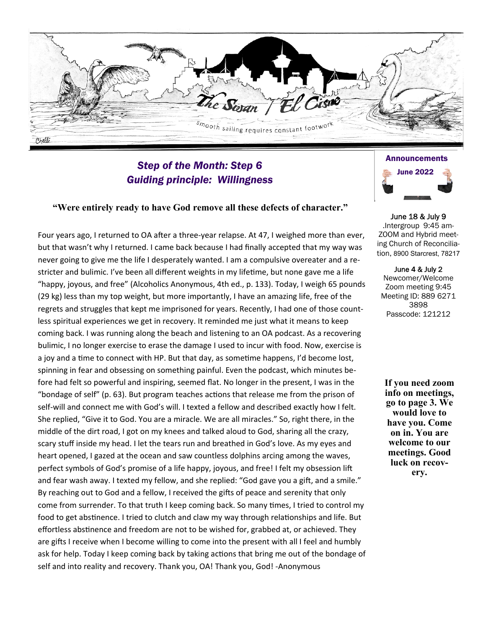Time smooth sailing requires constant footwork Chelli

# *Step of the Month: Step 6 Guiding principle: Willingness*

#### **"Were entirely ready to have God remove all these defects of character."**

Four years ago, I returned to OA after a three-year relapse. At 47, I weighed more than ever, but that wasn't why I returned. I came back because I had finally accepted that my way was never going to give me the life I desperately wanted. I am a compulsive overeater and a re‐ stricter and bulimic. I've been all different weights in my lifetime, but none gave me a life "happy, joyous, and free" (Alcoholics Anonymous, 4th ed., p. 133). Today, I weigh 65 pounds (29 kg) less than my top weight, but more importantly, I have an amazing life, free of the regrets and struggles that kept me imprisoned for years. Recently, I had one of those countless spiritual experiences we get in recovery. It reminded me just what it means to keep coming back. I was running along the beach and listening to an OA podcast. As a recovering bulimic, I no longer exercise to erase the damage I used to incur with food. Now, exercise is a joy and a time to connect with HP. But that day, as sometime happens, I'd become lost, spinning in fear and obsessing on something painful. Even the podcast, which minutes be‐ fore had felt so powerful and inspiring, seemed flat. No longer in the present, I was in the "bondage of self" (p. 63). But program teaches actions that release me from the prison of self-will and connect me with God's will. I texted a fellow and described exactly how I felt. She replied, "Give it to God. You are a miracle. We are all miracles." So, right there, in the middle of the dirt road, I got on my knees and talked aloud to God, sharing all the crazy, scary stuff inside my head. I let the tears run and breathed in God's love. As my eyes and heart opened, I gazed at the ocean and saw countless dolphins arcing among the waves, perfect symbols of God's promise of a life happy, joyous, and free! I felt my obsession lift and fear wash away. I texted my fellow, and she replied: "God gave you a gift, and a smile." By reaching out to God and a fellow, I received the gifts of peace and serenity that only come from surrender. To that truth I keep coming back. So many times, I tried to control my food to get abstinence. I tried to clutch and claw my way through relationships and life. But effortless abstinence and freedom are not to be wished for, grabbed at, or achieved. They are gifts I receive when I become willing to come into the present with all I feel and humbly ask for help. Today I keep coming back by taking actions that bring me out of the bondage of self and into reality and recovery. Thank you, OA! Thank you, God! ‐Anonymous



June 18 & July 9 .Intergroup 9:45 am-ZOOM and Hybrid meeting Church of Reconciliation, 8900 Starcrest, 78217

June 4 & July 2 Newcomer/Welcome Zoom meeting 9:45 Meeting ID: 889 6271 3898 Passcode: 121212

**If you need zoom info on meetings, go to page 3. We would love to have you. Come on in. You are welcome to our meetings. Good luck on recovery.**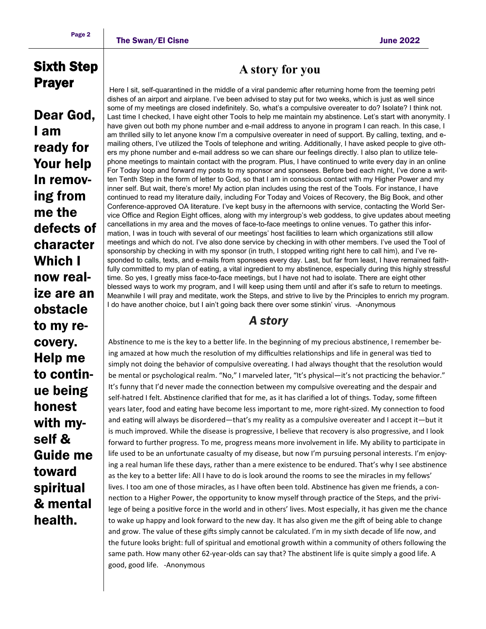# Sixth Step Prayer

Dear God, I am ready for Your help In removing from me the defects of character Which I now realize are an obstacle to my recovery. Help me to continue being honest with myself & Guide me toward spiritual & mental health.

# **A story for you**

 Here I sit, self-quarantined in the middle of a viral pandemic after returning home from the teeming petri dishes of an airport and airplane. I've been advised to stay put for two weeks, which is just as well since some of my meetings are closed indefinitely. So, what's a compulsive overeater to do? Isolate? I think not. Last time I checked, I have eight other Tools to help me maintain my abstinence. Let's start with anonymity. I have given out both my phone number and e-mail address to anyone in program I can reach. In this case, I am thrilled silly to let anyone know I'm a compulsive overeater in need of support. By calling, texting, and emailing others, I've utilized the Tools of telephone and writing. Additionally, I have asked people to give others my phone number and e-mail address so we can share our feelings directly. I also plan to utilize telephone meetings to maintain contact with the program. Plus, I have continued to write every day in an online For Today loop and forward my posts to my sponsor and sponsees. Before bed each night, I've done a written Tenth Step in the form of letter to God, so that I am in conscious contact with my Higher Power and my inner self. But wait, there's more! My action plan includes using the rest of the Tools. For instance, I have continued to read my literature daily, including For Today and Voices of Recovery, the Big Book, and other Conference-approved OA literature. I've kept busy in the afternoons with service, contacting the World Service Office and Region Eight offices, along with my intergroup's web goddess, to give updates about meeting cancellations in my area and the moves of face-to-face meetings to online venues. To gather this information, I was in touch with several of our meetings' host facilities to learn which organizations still allow meetings and which do not. I've also done service by checking in with other members. I've used the Tool of sponsorship by checking in with my sponsor (in truth, I stopped writing right here to call him), and I've responded to calls, texts, and e-mails from sponsees every day. Last, but far from least, I have remained faithfully committed to my plan of eating, a vital ingredient to my abstinence, especially during this highly stressful time. So yes, I greatly miss face-to-face meetings, but I have not had to isolate. There are eight other blessed ways to work my program, and I will keep using them until and after it's safe to return to meetings. Meanwhile I will pray and meditate, work the Steps, and strive to live by the Principles to enrich my program. I do have another choice, but I ain't going back there over some stinkin' virus. -Anonymous

## *A story*

Abstinence to me is the key to a better life. In the beginning of my precious abstinence, I remember being amazed at how much the resolution of my difficulties relationships and life in general was tied to simply not doing the behavior of compulsive overeating. I had always thought that the resolution would be mental or psychological realm. "No," I marveled later, "It's physical—it's not practicing the behavior." It's funny that I'd never made the connection between my compulsive overeating and the despair and self-hatred I felt. Abstinence clarified that for me, as it has clarified a lot of things. Today, some fifteen years later, food and eating have become less important to me, more right-sized. My connection to food and eating will always be disordered—that's my reality as a compulsive overeater and I accept it—but it is much improved. While the disease is progressive, I believe that recovery is also progressive, and I look forward to further progress. To me, progress means more involvement in life. My ability to participate in life used to be an unfortunate casualty of my disease, but now I'm pursuing personal interests. I'm enjoying a real human life these days, rather than a mere existence to be endured. That's why I see abstinence as the key to a better life: All I have to do is look around the rooms to see the miracles in my fellows' lives. I too am one of those miracles, as I have often been told. Abstinence has given me friends, a connection to a Higher Power, the opportunity to know myself through practice of the Steps, and the privilege of being a positive force in the world and in others' lives. Most especially, it has given me the chance to wake up happy and look forward to the new day. It has also given me the gift of being able to change and grow. The value of these gifts simply cannot be calculated. I'm in my sixth decade of life now, and the future looks bright: full of spiritual and emotional growth within a community of others following the same path. How many other 62-year-olds can say that? The abstinent life is quite simply a good life. A good, good life. ‐Anonymous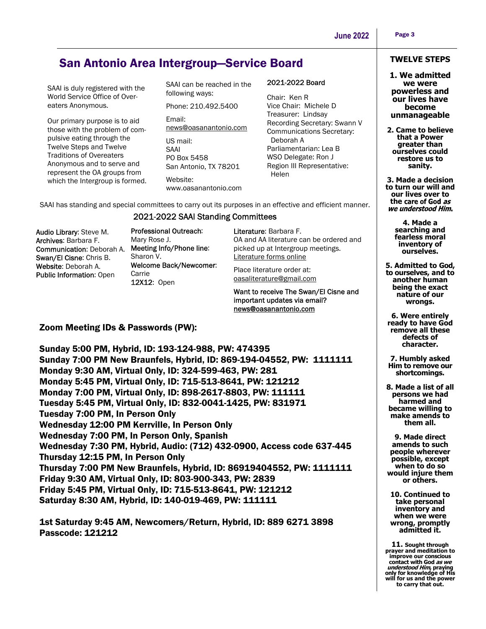# San Antonio Area Intergroup—Service Board

SAAI is duly registered with the World Service Office of Overeaters Anonymous.

Our primary purpose is to aid those with the problem of compulsive eating through the Twelve Steps and Twelve Traditions of Overeaters Anonymous and to serve and represent the OA groups from which the Intergroup is formed.

SAAI can be reached in the following ways:

Phone: 210.492.5400 Email: news@oasanantonio.com US mail: SAAI

PO Box 5458 San Antonio, TX 78201

Website: www.oasanantonio.com

#### 2021-2022 Board

Chair: Ken R Vice Chair: Michele D Treasurer: Lindsay Recording Secretary: Swann V Communications Secretary: Deborah A Parliamentarian: Lea B WSO Delegate: Ron J Region III Representative: **Helen** 

SAAI has standing and special committees to carry out its purposes in an effective and efficient manner.

### 2021-2022 SAAI Standing Committees

Audio Library: Steve M. Archives: Barbara F. Communication: Deborah A. Swan/El Cisne: Chris B. Website: Deborah A. Public Information: Open

Professional Outreach: Mary Rose J. Meeting Info/Phone line: Sharon V. Welcome Back/Newcomer: Carrie 12X12: Open

Literature: Barbara F. OA and AA literature can be ordered and picked up at Intergroup meetings. Literature forms online

Place literature order at: oasaliterature@gmail.com

Want to receive The Swan/El Cisne and important updates via email? news@oasanantonio.com

### Zoom Meeting IDs & Passwords (PW):

Sunday 5:00 PM, Hybrid, ID: 193-124-988, PW: 474395 Sunday 7:00 PM New Braunfels, Hybrid, ID: 869-194-04552, PW: 1111111 Monday 9:30 AM, Virtual Only, ID: 324-599-463, PW: 281 Monday 5:45 PM, Virtual Only, ID: 715-513-8641, PW: 121212 Monday 7:00 PM, Virtual Only, ID: 898-2617-8803, PW: 111111 Tuesday 5:45 PM, Virtual Only, ID: 832-0041-1425, PW: 831971 Tuesday 7:00 PM, In Person Only Wednesday 12:00 PM Kerrville, In Person Only Wednesday 7:00 PM, In Person Only, Spanish Wednesday 7:30 PM, Hybrid, Audio: (712) 432-0900, Access code 637-445 Thursday 12:15 PM, In Person Only Thursday 7:00 PM New Braunfels, Hybrid, ID: 86919404552, PW: 1111111 Friday 9:30 AM, Virtual Only, ID: 803-900-343, PW: 2839 Friday 5:45 PM, Virtual Only, ID: 715-513-8641, PW: 121212 Saturday 8:30 AM, Hybrid, ID: 140-019-469, PW: 111111

1st Saturday 9:45 AM, Newcomers/Return, Hybrid, ID: 889 6271 3898 Passcode: 121212

#### **TWELVE STEPS**

**1. We admitted we were powerless and our lives have become unmanageable**

**2. Came to believe that a Power greater than ourselves could restore us to sanity.** 

**3. Made a decision to turn our will and our lives over to**  the care of God as<br>we understood Him.

> **4. Made a searching and fearless moral inventory of ourselves.**

**5. Admitted to God, to ourselves, and to another human being the exact nature of our wrongs.** 

**6. Were entirely ready to have God remove all these defects of character.** 

**7. Humbly asked Him to remove our shortcomings.** 

**8. Made a list of all persons we had harmed and became willing to make amends to them all.** 

**9. Made direct amends to such people wherever possible, except when to do so would injure them or others.** 

**10. Continued to take personal inventory and when we were wrong, promptly admitted it.** 

**11. Sought through prayer and meditation to improve our conscious contact with God as we understood Him, praying only for knowledge of His will for us and the power to carry that out.**